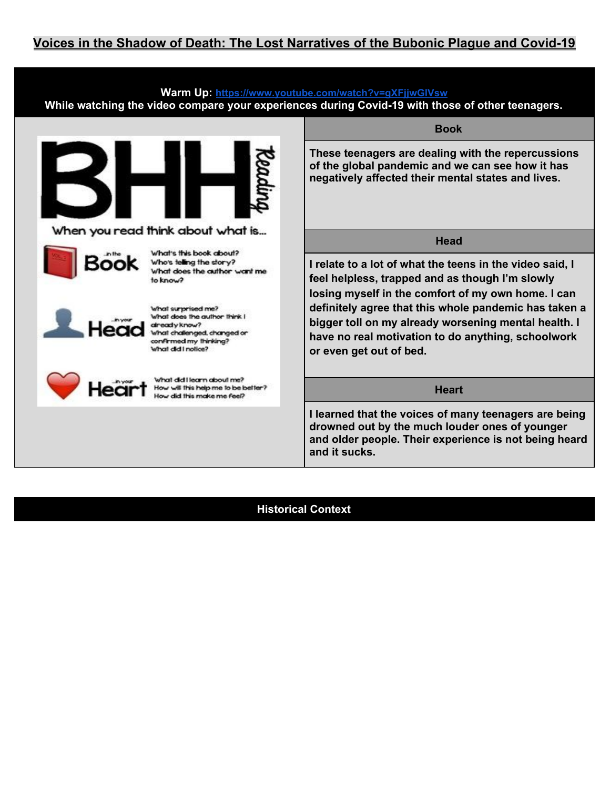

**Historical Context**

**and it sucks.**

**and older people. Their experience is not being heard**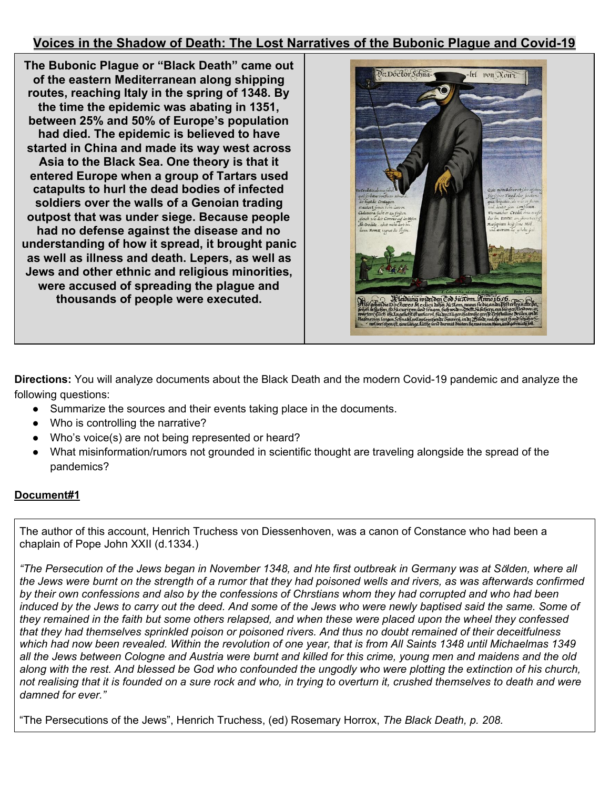**The Bubonic Plague or "Black Death" came out of the eastern Mediterranean along shipping routes, reaching Italy in the spring of 1348. By the time the epidemic was abating in 1351, between 25% and 50% of Europe's population had died. The epidemic is believed to have started in China and made its way west across Asia to the Black Sea. One theory is that it entered Europe when a group of Tartars used catapults to hurl the dead bodies of infected soldiers over the walls of a Genoian trading outpost that was under siege. Because people had no defense against the disease and no understanding of how it spread, it brought panic as well as illness and death. Lepers, as well as Jews and other ethnic and religious minorities, were accused of spreading the plague and thousands of people were executed.**



**Directions:** You will analyze documents about the Black Death and the modern Covid-19 pandemic and analyze the following questions:

- Summarize the sources and their events taking place in the documents.
- Who is controlling the narrative?
- Who's voice(s) are not being represented or heard?
- What misinformation/rumors not grounded in scientific thought are traveling alongside the spread of the pandemics?

# **Document#1**

The author of this account, Henrich Truchess von Diessenhoven, was a canon of Constance who had been a chaplain of Pope John XXII (d.1334.)

"The Persecution of the Jews began in November 1348, and hte first outbreak in Germany was at Sölden, where all the Jews were burnt on the strength of a rumor that they had poisoned wells and rivers, as was afterwards confirmed by their own confessions and also by the confessions of Chrstians whom they had corrupted and who had been induced by the Jews to carry out the deed. And some of the Jews who were newly baptised said the same. Some of they remained in the faith but some others relapsed, and when these were placed upon the wheel they confessed that they had themselves sprinkled poison or poisoned rivers. And thus no doubt remained of their deceitfulness which had now been revealed. Within the revolution of one year, that is from All Saints 1348 until Michaelmas 1349 all the Jews between Cologne and Austria were burnt and killed for this crime, young men and maidens and the old along with the rest. And blessed be God who confounded the ungodly who were plotting the extinction of his church, not realising that it is founded on a sure rock and who, in trying to overturn it, crushed themselves to death and were *damned for ever."*

"The Persecutions of the Jews", Henrich Truchess, (ed) Rosemary Horrox, *The Black Death, p. 208.*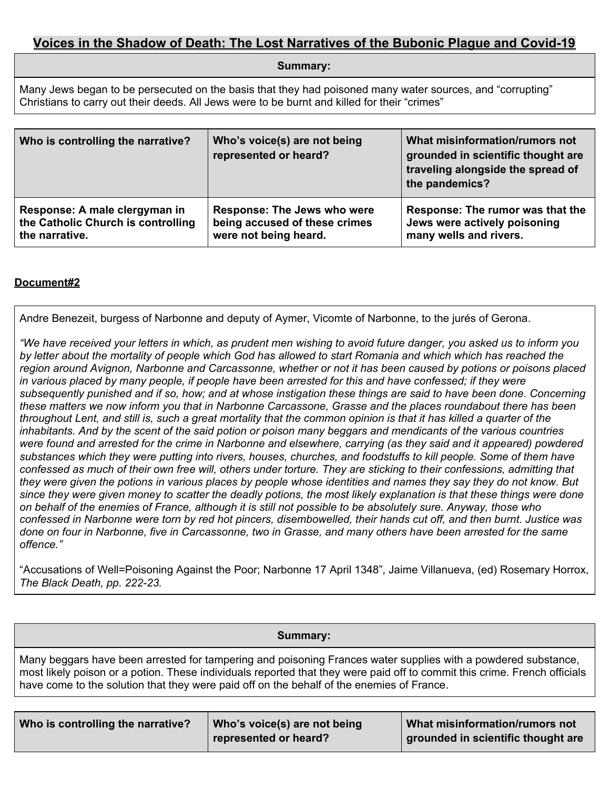**Summary:**

Many Jews began to be persecuted on the basis that they had poisoned many water sources, and "corrupting" Christians to carry out their deeds. All Jews were to be burnt and killed for their "crimes"

| Who is controlling the narrative?  | Who's voice(s) are not being<br>represented or heard? | What misinformation/rumors not<br>grounded in scientific thought are<br>traveling alongside the spread of<br>the pandemics? |
|------------------------------------|-------------------------------------------------------|-----------------------------------------------------------------------------------------------------------------------------|
| Response: A male clergyman in      | <b>Response: The Jews who were</b>                    | Response: The rumor was that the                                                                                            |
| the Catholic Church is controlling | being accused of these crimes                         | Jews were actively poisoning                                                                                                |
| the narrative.                     | were not being heard.                                 | many wells and rivers.                                                                                                      |

## **Document#2**

Andre Benezeit, burgess of Narbonne and deputy of Aymer, Vicomte of Narbonne, to the jurés of Gerona.

"We have received your letters in which, as prudent men wishing to avoid future danger, you asked us to inform you by letter about the mortality of people which God has allowed to start Romania and which which has reached the region around Avignon, Narbonne and Carcassonne, whether or not it has been caused by potions or poisons placed in various placed by many people, if people have been arrested for this and have confessed; if they were subsequently punished and if so, how; and at whose instigation these things are said to have been done. Concerning these matters we now inform you that in Narbonne Carcassone, Grasse and the places roundabout there has been throughout Lent, and still is, such a great mortality that the common opinion is that it has killed a quarter of the inhabitants. And by the scent of the said potion or poison many beggars and mendicants of the various countries were found and arrested for the crime in Narbonne and elsewhere, carrying (as they said and it appeared) powdered substances which they were putting into rivers, houses, churches, and foodstuffs to kill people. Some of them have confessed as much of their own free will, others under torture. They are sticking to their confessions, admitting that they were given the potions in various places by people whose identities and names they say they do not know. But since they were given money to scatter the deadly potions, the most likely explanation is that these things were done on behalf of the enemies of France, although it is still not possible to be absolutely sure. Anyway, those who confessed in Narbonne were torn by red hot pincers, disembowelled, their hands cut off, and then burnt. Justice was done on four in Narbonne, five in Carcassonne, two in Grasse, and many others have been arrested for the same *offence."*

"Accusations of Well=Poisoning Against the Poor; Narbonne 17 April 1348", Jaime Villanueva, (ed) Rosemary Horrox, *The Black Death, pp. 222-23.*

**Summary:**

Many beggars have been arrested for tampering and poisoning Frances water supplies with a powdered substance, most likely poison or a potion. These individuals reported that they were paid off to commit this crime. French officials have come to the solution that they were paid off on the behalf of the enemies of France.

| Who is controlling the narrative? | Who's voice(s) are not being | What misinformation/rumors not       |
|-----------------------------------|------------------------------|--------------------------------------|
|                                   | represented or heard?        | I grounded in scientific thought are |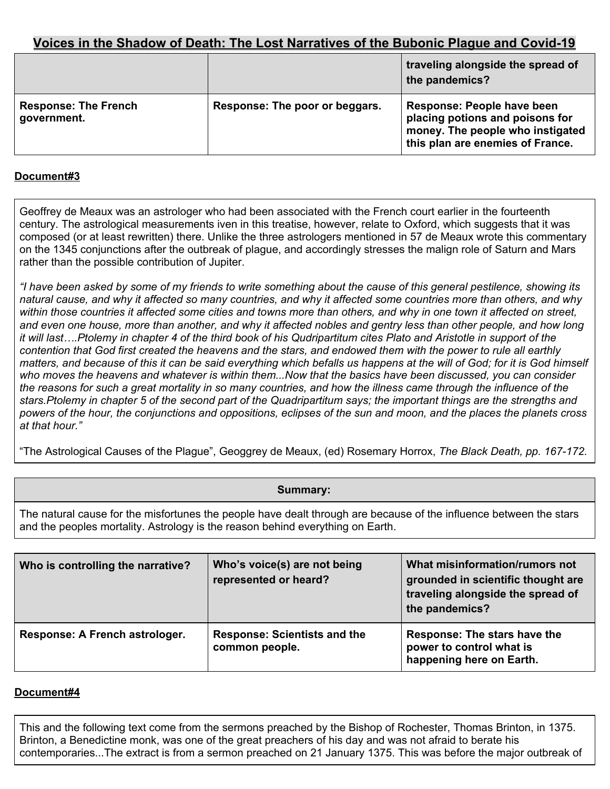|                                            |                                | traveling alongside the spread of<br>the pandemics?                                                                                   |
|--------------------------------------------|--------------------------------|---------------------------------------------------------------------------------------------------------------------------------------|
| <b>Response: The French</b><br>government. | Response: The poor or beggars. | Response: People have been<br>placing potions and poisons for<br>money. The people who instigated<br>this plan are enemies of France. |

### **Document#3**

Geoffrey de Meaux was an astrologer who had been associated with the French court earlier in the fourteenth century. The astrological measurements iven in this treatise, however, relate to Oxford, which suggests that it was composed (or at least rewritten) there. Unlike the three astrologers mentioned in 57 de Meaux wrote this commentary on the 1345 conjunctions after the outbreak of plague, and accordingly stresses the malign role of Saturn and Mars rather than the possible contribution of Jupiter.

"I have been asked by some of my friends to write something about the cause of this general pestilence, showing its natural cause, and why it affected so many countries, and why it affected some countries more than others, and why within those countries it affected some cities and towns more than others, and why in one town it affected on street, and even one house, more than another, and why it affected nobles and gentry less than other people, and how long it will last....Ptolemy in chapter 4 of the third book of his Qudripartitum cites Plato and Aristotle in support of the contention that God first created the heavens and the stars, and endowed them with the power to rule all earthly matters, and because of this it can be said everything which befalls us happens at the will of God; for it is God himself who moves the heavens and whatever is within them...Now that the basics have been discussed, you can consider the reasons for such a great mortality in so many countries, and how the illness came through the influence of the stars. Ptolemy in chapter 5 of the second part of the Quadripartitum says; the important things are the strengths and powers of the hour, the conjunctions and oppositions, eclipses of the sun and moon, and the places the planets cross *at that hour."*

"The Astrological Causes of the Plague", Geoggrey de Meaux, (ed) Rosemary Horrox, *The Black Death, pp. 167-172.*

### **Summary:**

The natural cause for the misfortunes the people have dealt through are because of the influence between the stars and the peoples mortality. Astrology is the reason behind everything on Earth.

| Who is controlling the narrative? | Who's voice(s) are not being<br>represented or heard? | What misinformation/rumors not<br>grounded in scientific thought are<br>traveling alongside the spread of<br>the pandemics? |
|-----------------------------------|-------------------------------------------------------|-----------------------------------------------------------------------------------------------------------------------------|
| Response: A French astrologer.    | <b>Response: Scientists and the</b><br>common people. | Response: The stars have the<br>power to control what is<br>happening here on Earth.                                        |

### **Document#4**

This and the following text come from the sermons preached by the Bishop of Rochester, Thomas Brinton, in 1375. Brinton, a Benedictine monk, was one of the great preachers of his day and was not afraid to berate his contemporaries...The extract is from a sermon preached on 21 January 1375. This was before the major outbreak of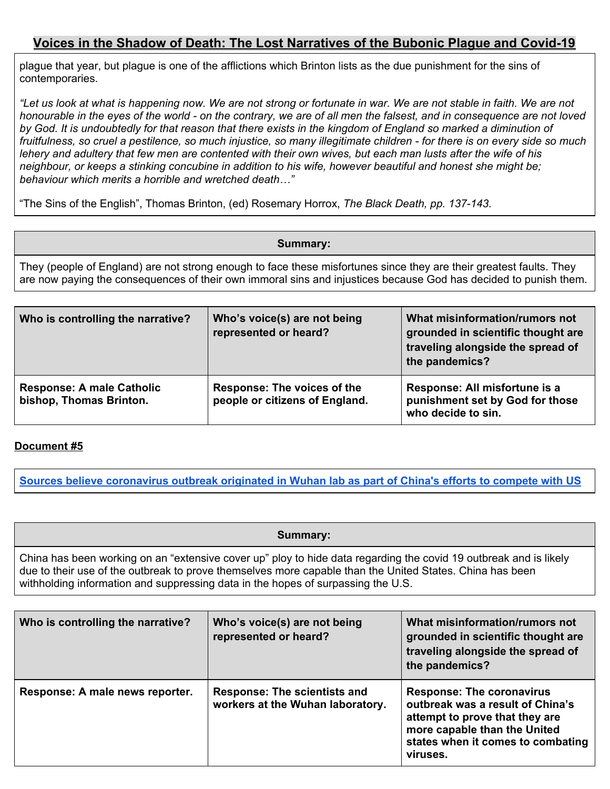plague that year, but plague is one of the afflictions which Brinton lists as the due punishment for the sins of contemporaries.

"Let us look at what is happening now. We are not strong or fortunate in war. We are not stable in faith. We are not honourable in the eyes of the world - on the contrary, we are of all men the falsest, and in consequence are not loved by God. It is undoubtedly for that reason that there exists in the kingdom of England so marked a diminution of fruitfulness, so cruel a pestilence, so much injustice, so many illegitimate children - for there is on every side so much lehery and adultery that few men are contented with their own wives, but each man lusts after the wife of his neighbour, or keeps a stinking concubine in addition to his wife, however beautiful and honest she might be; *behaviour which merits a horrible and wretched death…"*

"The Sins of the English", Thomas Brinton, (ed) Rosemary Horrox, *The Black Death, pp. 137-143.*

#### **Summary:**

They (people of England) are not strong enough to face these misfortunes since they are their greatest faults. They are now paying the consequences of their own immoral sins and injustices because God has decided to punish them.

| Who is controlling the narrative?                           | Who's voice(s) are not being<br>represented or heard?         | What misinformation/rumors not<br>grounded in scientific thought are<br>traveling alongside the spread of<br>the pandemics? |
|-------------------------------------------------------------|---------------------------------------------------------------|-----------------------------------------------------------------------------------------------------------------------------|
| <b>Response: A male Catholic</b><br>bishop, Thomas Brinton. | Response: The voices of the<br>people or citizens of England. | Response: All misfortune is a<br>punishment set by God for those<br>who decide to sin.                                      |

### **Document #5**

Sources believe [coronavirus](https://www.foxnews.com/politics/coronavirus-wuhan-lab-china-compete-us-sources) outbreak originated in Wuhan lab as part of China's efforts to compete with US

**Summary:**

China has been working on an "extensive cover up" ploy to hide data regarding the covid 19 outbreak and is likely due to their use of the outbreak to prove themselves more capable than the United States. China has been withholding information and suppressing data in the hopes of surpassing the U.S.

| Who is controlling the narrative? | Who's voice(s) are not being<br>represented or heard?                   | What misinformation/rumors not<br>grounded in scientific thought are<br>traveling alongside the spread of<br>the pandemics?                                                             |
|-----------------------------------|-------------------------------------------------------------------------|-----------------------------------------------------------------------------------------------------------------------------------------------------------------------------------------|
| Response: A male news reporter.   | <b>Response: The scientists and</b><br>workers at the Wuhan laboratory. | <b>Response: The coronavirus</b><br>outbreak was a result of China's<br>attempt to prove that they are<br>more capable than the United<br>states when it comes to combating<br>viruses. |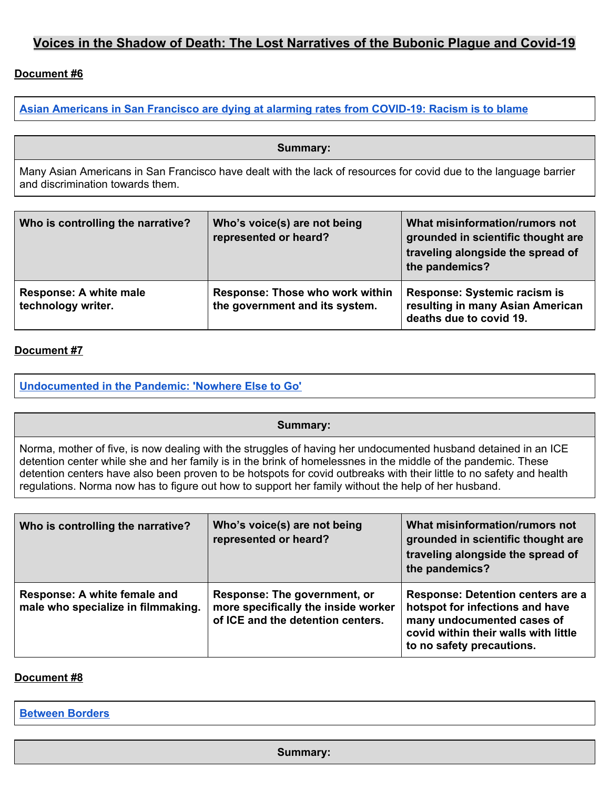## **Document #6**

**Asian [Americans](https://www.usatoday.com/in-depth/news/nation/2020/10/18/coronavirus-asian-americans-racism-death-rates-san-francisco/5799617002/) in San Francisco are dying at alarming rates from COVID-19: Racism is to blame**

**Summary:**

Many Asian Americans in San Francisco have dealt with the lack of resources for covid due to the language barrier and discrimination towards them.

| Who is controlling the narrative?            | Who's voice(s) are not being<br>represented or heard?             | What misinformation/rumors not<br>grounded in scientific thought are<br>traveling alongside the spread of<br>the pandemics? |
|----------------------------------------------|-------------------------------------------------------------------|-----------------------------------------------------------------------------------------------------------------------------|
| Response: A white male<br>technology writer. | Response: Those who work within<br>the government and its system. | Response: Systemic racism is<br>resulting in many Asian American<br>deaths due to covid 19.                                 |

### **Document #7**

**[Undocumented](https://pulitzercenter.org/reporting/undocumented-pandemic-nowhere-else-go) in the Pandemic: 'Nowhere Else to Go'**

#### **Summary:**

Norma, mother of five, is now dealing with the struggles of having her undocumented husband detained in an ICE detention center while she and her family is in the brink of homelessnes in the middle of the pandemic. These detention centers have also been proven to be hotspots for covid outbreaks with their little to no safety and health regulations. Norma now has to figure out how to support her family without the help of her husband.

| Who is controlling the narrative?                                  | Who's voice(s) are not being<br>represented or heard?                                                    | What misinformation/rumors not<br>grounded in scientific thought are<br>traveling alongside the spread of<br>the pandemics?                                                    |
|--------------------------------------------------------------------|----------------------------------------------------------------------------------------------------------|--------------------------------------------------------------------------------------------------------------------------------------------------------------------------------|
| Response: A white female and<br>male who specialize in filmmaking. | Response: The government, or<br>more specifically the inside worker<br>of ICE and the detention centers. | <b>Response: Detention centers are a</b><br>hotspot for infections and have<br>many undocumented cases of<br>covid within their walls with little<br>to no safety precautions. |

#### **Document #8**

**[Between](https://pulitzercenter.org/reporting/between-borders-0) Borders**

**Summary:**